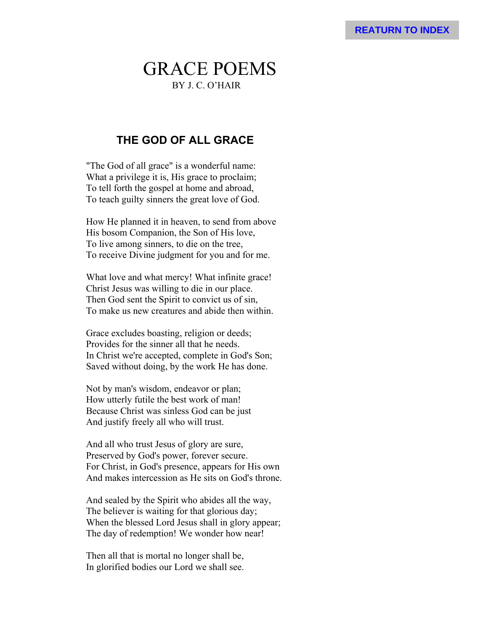# GRACE POEMS BY J. C. O'HAIR

## **THE GOD OF ALL GRACE**

"The God of all grace" is a wonderful name: What a privilege it is, His grace to proclaim; To tell forth the gospel at home and abroad, To teach guilty sinners the great love of God.

How He planned it in heaven, to send from above His bosom Companion, the Son of His love, To live among sinners, to die on the tree, To receive Divine judgment for you and for me.

What love and what mercy! What infinite grace! Christ Jesus was willing to die in our place. Then God sent the Spirit to convict us of sin, To make us new creatures and abide then within.

Grace excludes boasting, religion or deeds; Provides for the sinner all that he needs. In Christ we're accepted, complete in God's Son; Saved without doing, by the work He has done.

Not by man's wisdom, endeavor or plan; How utterly futile the best work of man! Because Christ was sinless God can be just And justify freely all who will trust.

And all who trust Jesus of glory are sure, Preserved by God's power, forever secure. For Christ, in God's presence, appears for His own And makes intercession as He sits on God's throne.

And sealed by the Spirit who abides all the way, The believer is waiting for that glorious day; When the blessed Lord Jesus shall in glory appear; The day of redemption! We wonder how near!

Then all that is mortal no longer shall be, In glorified bodies our Lord we shall see.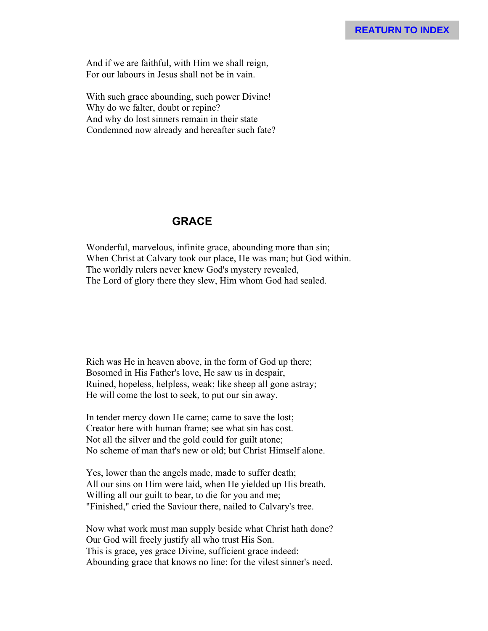And if we are faithful, with Him we shall reign, For our labours in Jesus shall not be in vain.

With such grace abounding, such power Divine! Why do we falter, doubt or repine? And why do lost sinners remain in their state Condemned now already and hereafter such fate?

#### **GRACE**

Wonderful, marvelous, infinite grace, abounding more than sin; When Christ at Calvary took our place, He was man; but God within. The worldly rulers never knew God's mystery revealed, The Lord of glory there they slew, Him whom God had sealed.

Rich was He in heaven above, in the form of God up there; Bosomed in His Father's love, He saw us in despair, Ruined, hopeless, helpless, weak; like sheep all gone astray; He will come the lost to seek, to put our sin away.

In tender mercy down He came; came to save the lost; Creator here with human frame; see what sin has cost. Not all the silver and the gold could for guilt atone; No scheme of man that's new or old; but Christ Himself alone.

Yes, lower than the angels made, made to suffer death; All our sins on Him were laid, when He yielded up His breath. Willing all our guilt to bear, to die for you and me; "Finished," cried the Saviour there, nailed to Calvary's tree.

Now what work must man supply beside what Christ hath done? Our God will freely justify all who trust His Son. This is grace, yes grace Divine, sufficient grace indeed: Abounding grace that knows no line: for the vilest sinner's need.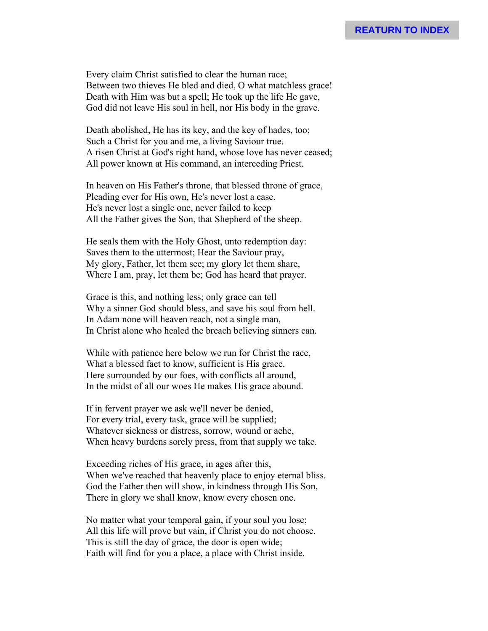Every claim Christ satisfied to clear the human race; Between two thieves He bled and died, O what matchless grace! Death with Him was but a spell; He took up the life He gave, God did not leave His soul in hell, nor His body in the grave.

Death abolished, He has its key, and the key of hades, too; Such a Christ for you and me, a living Saviour true. A risen Christ at God's right hand, whose love has never ceased; All power known at His command, an interceding Priest.

In heaven on His Father's throne, that blessed throne of grace, Pleading ever for His own, He's never lost a case. He's never lost a single one, never failed to keep All the Father gives the Son, that Shepherd of the sheep.

He seals them with the Holy Ghost, unto redemption day: Saves them to the uttermost; Hear the Saviour pray, My glory, Father, let them see; my glory let them share, Where I am, pray, let them be; God has heard that prayer.

Grace is this, and nothing less; only grace can tell Why a sinner God should bless, and save his soul from hell. In Adam none will heaven reach, not a single man, In Christ alone who healed the breach believing sinners can.

While with patience here below we run for Christ the race, What a blessed fact to know, sufficient is His grace. Here surrounded by our foes, with conflicts all around, In the midst of all our woes He makes His grace abound.

If in fervent prayer we ask we'll never be denied, For every trial, every task, grace will be supplied; Whatever sickness or distress, sorrow, wound or ache, When heavy burdens sorely press, from that supply we take.

Exceeding riches of His grace, in ages after this, When we've reached that heavenly place to enjoy eternal bliss. God the Father then will show, in kindness through His Son, There in glory we shall know, know every chosen one.

No matter what your temporal gain, if your soul you lose; All this life will prove but vain, if Christ you do not choose. This is still the day of grace, the door is open wide; Faith will find for you a place, a place with Christ inside.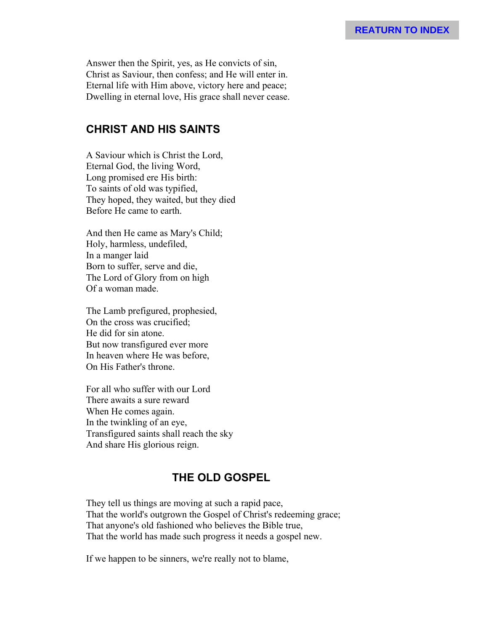Answer then the Spirit, yes, as He convicts of sin, Christ as Saviour, then confess; and He will enter in. Eternal life with Him above, victory here and peace; Dwelling in eternal love, His grace shall never cease.

### **CHRIST AND HIS SAINTS**

A Saviour which is Christ the Lord, Eternal God, the living Word, Long promised ere His birth: To saints of old was typified, They hoped, they waited, but they died Before He came to earth.

And then He came as Mary's Child; Holy, harmless, undefiled, In a manger laid Born to suffer, serve and die, The Lord of Glory from on high Of a woman made.

The Lamb prefigured, prophesied, On the cross was crucified; He did for sin atone. But now transfigured ever more In heaven where He was before, On His Father's throne.

For all who suffer with our Lord There awaits a sure reward When He comes again. In the twinkling of an eye, Transfigured saints shall reach the sky And share His glorious reign.

# **THE OLD GOSPEL**

They tell us things are moving at such a rapid pace, That the world's outgrown the Gospel of Christ's redeeming grace; That anyone's old fashioned who believes the Bible true, That the world has made such progress it needs a gospel new.

If we happen to be sinners, we're really not to blame,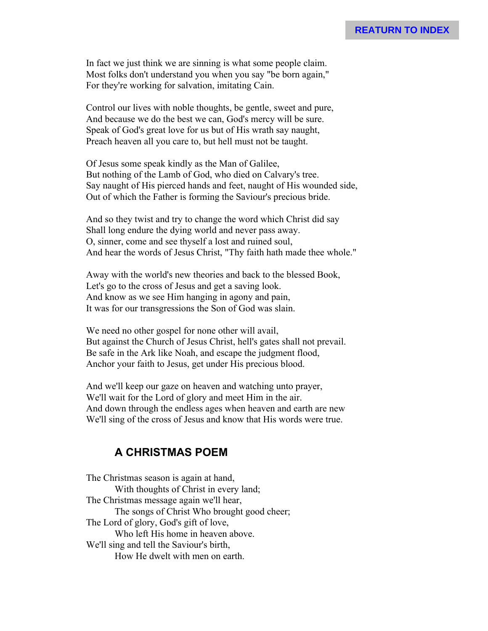#### **REATURN TO INDEX**

In fact we just think we are sinning is what some people claim. Most folks don't understand you when you say "be born again," For they're working for salvation, imitating Cain.

Control our lives with noble thoughts, be gentle, sweet and pure, And because we do the best we can, God's mercy will be sure. Speak of God's great love for us but of His wrath say naught, Preach heaven all you care to, but hell must not be taught.

Of Jesus some speak kindly as the Man of Galilee, But nothing of the Lamb of God, who died on Calvary's tree. Say naught of His pierced hands and feet, naught of His wounded side, Out of which the Father is forming the Saviour's precious bride.

And so they twist and try to change the word which Christ did say Shall long endure the dying world and never pass away. O, sinner, come and see thyself a lost and ruined soul, And hear the words of Jesus Christ, "Thy faith hath made thee whole."

Away with the world's new theories and back to the blessed Book, Let's go to the cross of Jesus and get a saving look. And know as we see Him hanging in agony and pain, It was for our transgressions the Son of God was slain.

We need no other gospel for none other will avail, But against the Church of Jesus Christ, hell's gates shall not prevail. Be safe in the Ark like Noah, and escape the judgment flood, Anchor your faith to Jesus, get under His precious blood.

And we'll keep our gaze on heaven and watching unto prayer, We'll wait for the Lord of glory and meet Him in the air. And down through the endless ages when heaven and earth are new We'll sing of the cross of Jesus and know that His words were true.

#### **A CHRISTMAS POEM**

The Christmas season is again at hand, With thoughts of Christ in every land; The Christmas message again we'll hear, The songs of Christ Who brought good cheer; The Lord of glory, God's gift of love, Who left His home in heaven above. We'll sing and tell the Saviour's birth, How He dwelt with men on earth.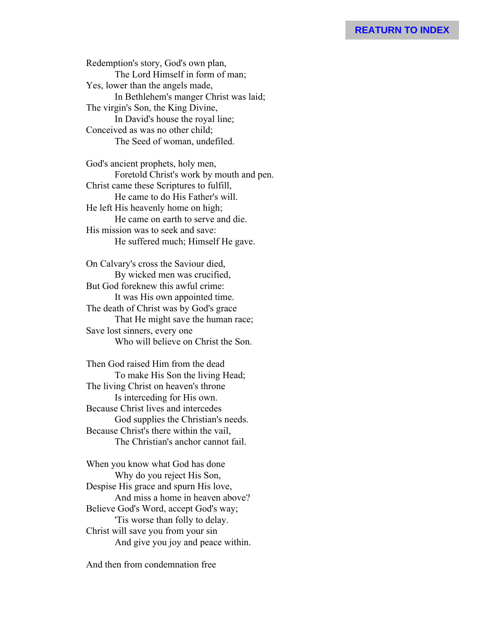Redemption's story, God's own plan, The Lord Himself in form of man; Yes, lower than the angels made, In Bethlehem's manger Christ was laid; The virgin's Son, the King Divine, In David's house the royal line; Conceived as was no other child; The Seed of woman, undefiled.

God's ancient prophets, holy men, Foretold Christ's work by mouth and pen. Christ came these Scriptures to fulfill, He came to do His Father's will. He left His heavenly home on high; He came on earth to serve and die. His mission was to seek and save: He suffered much; Himself He gave.

On Calvary's cross the Saviour died, By wicked men was crucified, But God foreknew this awful crime: It was His own appointed time. The death of Christ was by God's grace That He might save the human race; Save lost sinners, every one Who will believe on Christ the Son.

Then God raised Him from the dead To make His Son the living Head; The living Christ on heaven's throne Is interceding for His own. Because Christ lives and intercedes God supplies the Christian's needs. Because Christ's there within the vail, The Christian's anchor cannot fail.

When you know what God has done Why do you reject His Son, Despise His grace and spurn His love, And miss a home in heaven above? Believe God's Word, accept God's way; 'Tis worse than folly to delay. Christ will save you from your sin And give you joy and peace within.

And then from condemnation free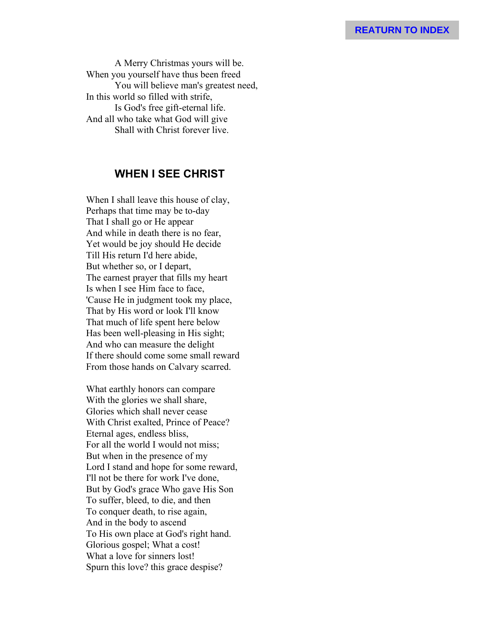A Merry Christmas yours will be. When you yourself have thus been freed You will believe man's greatest need, In this world so filled with strife, Is God's free gift-eternal life. And all who take what God will give Shall with Christ forever live.

# **WHEN I SEE CHRIST**

When I shall leave this house of clay, Perhaps that time may be to-day That I shall go or He appear And while in death there is no fear, Yet would be joy should He decide Till His return I'd here abide, But whether so, or I depart, The earnest prayer that fills my heart Is when I see Him face to face, 'Cause He in judgment took my place, That by His word or look I'll know That much of life spent here below Has been well-pleasing in His sight; And who can measure the delight If there should come some small reward From those hands on Calvary scarred.

What earthly honors can compare With the glories we shall share, Glories which shall never cease With Christ exalted, Prince of Peace? Eternal ages, endless bliss, For all the world I would not miss; But when in the presence of my Lord I stand and hope for some reward, I'll not be there for work I've done, But by God's grace Who gave His Son To suffer, bleed, to die, and then To conquer death, to rise again, And in the body to ascend To His own place at God's right hand. Glorious gospel; What a cost! What a love for sinners lost! Spurn this love? this grace despise?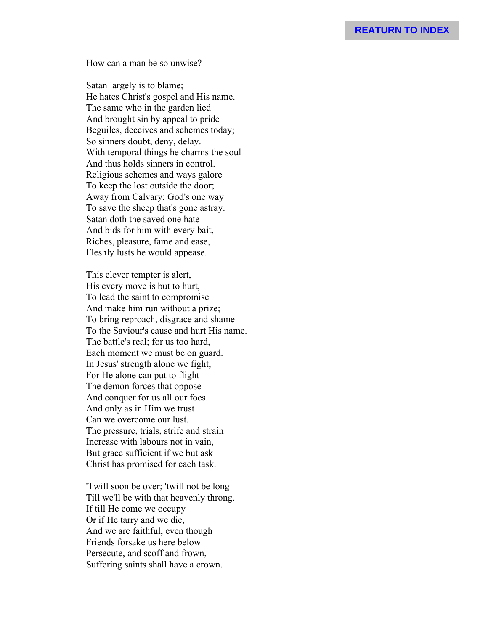How can a man be so unwise?

Satan largely is to blame; He hates Christ's gospel and His name. The same who in the garden lied And brought sin by appeal to pride Beguiles, deceives and schemes today; So sinners doubt, deny, delay. With temporal things he charms the soul And thus holds sinners in control. Religious schemes and ways galore To keep the lost outside the door; Away from Calvary; God's one way To save the sheep that's gone astray. Satan doth the saved one hate And bids for him with every bait, Riches, pleasure, fame and ease, Fleshly lusts he would appease.

This clever tempter is alert, His every move is but to hurt, To lead the saint to compromise And make him run without a prize; To bring reproach, disgrace and shame To the Saviour's cause and hurt His name. The battle's real; for us too hard, Each moment we must be on guard. In Jesus' strength alone we fight, For He alone can put to flight The demon forces that oppose And conquer for us all our foes. And only as in Him we trust Can we overcome our lust. The pressure, trials, strife and strain Increase with labours not in vain, But grace sufficient if we but ask Christ has promised for each task.

'Twill soon be over; 'twill not be long Till we'll be with that heavenly throng. If till He come we occupy Or if He tarry and we die, And we are faithful, even though Friends forsake us here below Persecute, and scoff and frown, Suffering saints shall have a crown.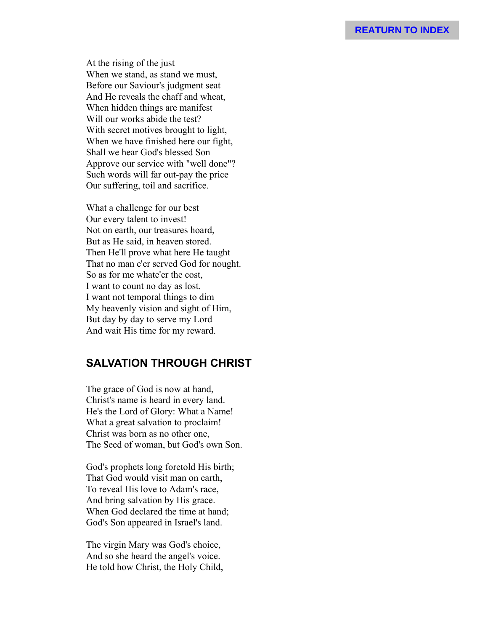At the rising of the just When we stand, as stand we must, Before our Saviour's judgment seat And He reveals the chaff and wheat, When hidden things are manifest Will our works abide the test? With secret motives brought to light, When we have finished here our fight, Shall we hear God's blessed Son Approve our service with "well done"? Such words will far out-pay the price Our suffering, toil and sacrifice.

What a challenge for our best Our every talent to invest! Not on earth, our treasures hoard, But as He said, in heaven stored. Then He'll prove what here He taught That no man e'er served God for nought. So as for me whate'er the cost, I want to count no day as lost. I want not temporal things to dim My heavenly vision and sight of Him, But day by day to serve my Lord And wait His time for my reward.

# **SALVATION THROUGH CHRIST**

The grace of God is now at hand, Christ's name is heard in every land. He's the Lord of Glory: What a Name! What a great salvation to proclaim! Christ was born as no other one, The Seed of woman, but God's own Son.

God's prophets long foretold His birth; That God would visit man on earth, To reveal His love to Adam's race, And bring salvation by His grace. When God declared the time at hand; God's Son appeared in Israel's land.

The virgin Mary was God's choice, And so she heard the angel's voice. He told how Christ, the Holy Child,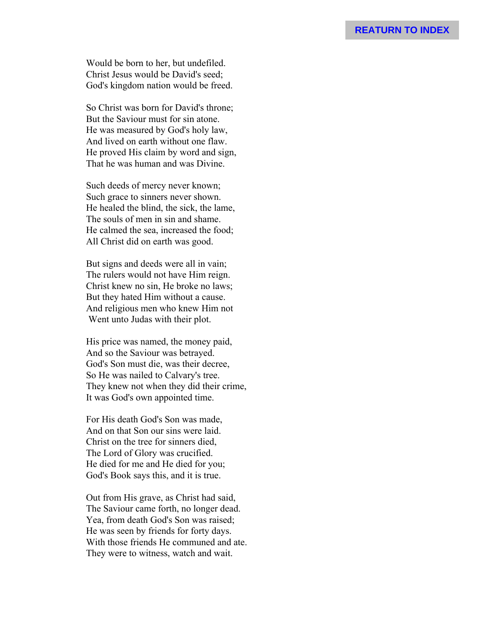Would be born to her, but undefiled. Christ Jesus would be David's seed; God's kingdom nation would be freed.

So Christ was born for David's throne; But the Saviour must for sin atone. He was measured by God's holy law, And lived on earth without one flaw. He proved His claim by word and sign, That he was human and was Divine.

Such deeds of mercy never known; Such grace to sinners never shown. He healed the blind, the sick, the lame, The souls of men in sin and shame. He calmed the sea, increased the food; All Christ did on earth was good.

But signs and deeds were all in vain; The rulers would not have Him reign. Christ knew no sin, He broke no laws; But they hated Him without a cause. And religious men who knew Him not Went unto Judas with their plot.

His price was named, the money paid, And so the Saviour was betrayed. God's Son must die, was their decree, So He was nailed to Calvary's tree. They knew not when they did their crime, It was God's own appointed time.

For His death God's Son was made, And on that Son our sins were laid. Christ on the tree for sinners died, The Lord of Glory was crucified. He died for me and He died for you; God's Book says this, and it is true.

Out from His grave, as Christ had said, The Saviour came forth, no longer dead. Yea, from death God's Son was raised; He was seen by friends for forty days. With those friends He communed and ate. They were to witness, watch and wait.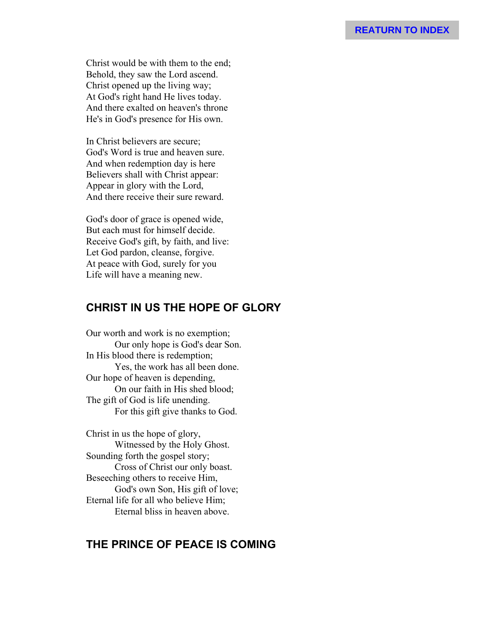Christ would be with them to the end; Behold, they saw the Lord ascend. Christ opened up the living way; At God's right hand He lives today. And there exalted on heaven's throne He's in God's presence for His own.

In Christ believers are secure; God's Word is true and heaven sure. And when redemption day is here Believers shall with Christ appear: Appear in glory with the Lord, And there receive their sure reward.

God's door of grace is opened wide, But each must for himself decide. Receive God's gift, by faith, and live: Let God pardon, cleanse, forgive. At peace with God, surely for you Life will have a meaning new.

# **CHRIST IN US THE HOPE OF GLORY**

Our worth and work is no exemption; Our only hope is God's dear Son. In His blood there is redemption; Yes, the work has all been done. Our hope of heaven is depending, On our faith in His shed blood; The gift of God is life unending. For this gift give thanks to God.

Christ in us the hope of glory, Witnessed by the Holy Ghost. Sounding forth the gospel story; Cross of Christ our only boast. Beseeching others to receive Him, God's own Son, His gift of love; Eternal life for all who believe Him; Eternal bliss in heaven above.

# **THE PRINCE OF PEACE IS COMING**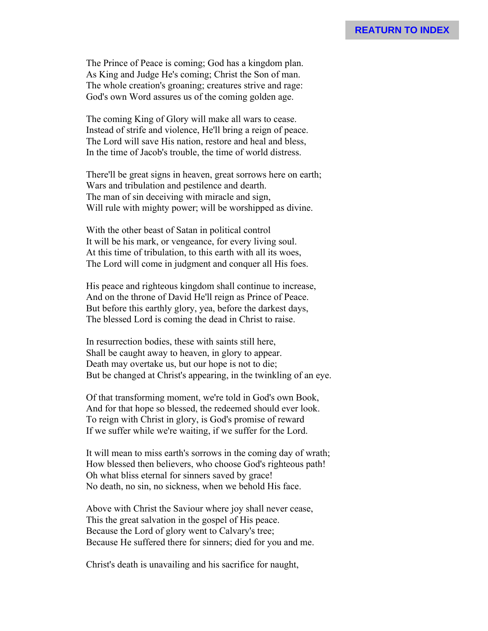The Prince of Peace is coming; God has a kingdom plan. As King and Judge He's coming; Christ the Son of man. The whole creation's groaning; creatures strive and rage: God's own Word assures us of the coming golden age.

The coming King of Glory will make all wars to cease. Instead of strife and violence, He'll bring a reign of peace. The Lord will save His nation, restore and heal and bless, In the time of Jacob's trouble, the time of world distress.

There'll be great signs in heaven, great sorrows here on earth; Wars and tribulation and pestilence and dearth. The man of sin deceiving with miracle and sign, Will rule with mighty power; will be worshipped as divine.

With the other beast of Satan in political control It will be his mark, or vengeance, for every living soul. At this time of tribulation, to this earth with all its woes, The Lord will come in judgment and conquer all His foes.

His peace and righteous kingdom shall continue to increase, And on the throne of David He'll reign as Prince of Peace. But before this earthly glory, yea, before the darkest days, The blessed Lord is coming the dead in Christ to raise.

In resurrection bodies, these with saints still here, Shall be caught away to heaven, in glory to appear. Death may overtake us, but our hope is not to die; But be changed at Christ's appearing, in the twinkling of an eye.

Of that transforming moment, we're told in God's own Book, And for that hope so blessed, the redeemed should ever look. To reign with Christ in glory, is God's promise of reward If we suffer while we're waiting, if we suffer for the Lord.

It will mean to miss earth's sorrows in the coming day of wrath; How blessed then believers, who choose God's righteous path! Oh what bliss eternal for sinners saved by grace! No death, no sin, no sickness, when we behold His face.

Above with Christ the Saviour where joy shall never cease, This the great salvation in the gospel of His peace. Because the Lord of glory went to Calvary's tree; Because He suffered there for sinners; died for you and me.

Christ's death is unavailing and his sacrifice for naught,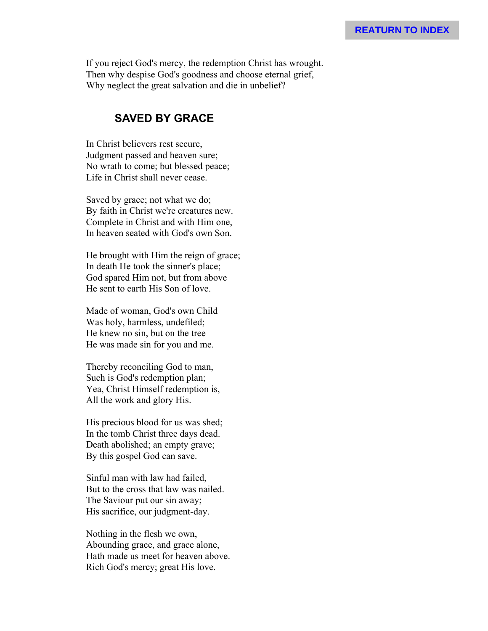If you reject God's mercy, the redemption Christ has wrought. Then why despise God's goodness and choose eternal grief, Why neglect the great salvation and die in unbelief?

#### **SAVED BY GRACE**

In Christ believers rest secure, Judgment passed and heaven sure; No wrath to come; but blessed peace; Life in Christ shall never cease.

Saved by grace; not what we do; By faith in Christ we're creatures new. Complete in Christ and with Him one, In heaven seated with God's own Son.

He brought with Him the reign of grace; In death He took the sinner's place; God spared Him not, but from above He sent to earth His Son of love.

Made of woman, God's own Child Was holy, harmless, undefiled; He knew no sin, but on the tree He was made sin for you and me.

Thereby reconciling God to man, Such is God's redemption plan; Yea, Christ Himself redemption is, All the work and glory His.

His precious blood for us was shed; In the tomb Christ three days dead. Death abolished; an empty grave; By this gospel God can save.

Sinful man with law had failed, But to the cross that law was nailed. The Saviour put our sin away; His sacrifice, our judgment-day.

Nothing in the flesh we own, Abounding grace, and grace alone, Hath made us meet for heaven above. Rich God's mercy; great His love.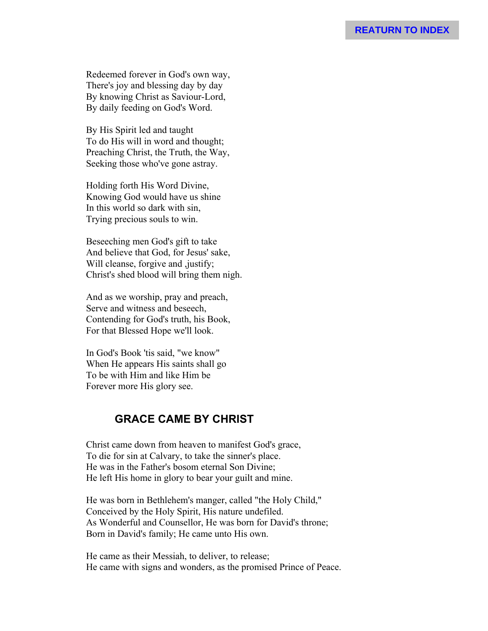Redeemed forever in God's own way, There's joy and blessing day by day By knowing Christ as Saviour-Lord, By daily feeding on God's Word.

By His Spirit led and taught To do His will in word and thought; Preaching Christ, the Truth, the Way, Seeking those who've gone astray.

Holding forth His Word Divine, Knowing God would have us shine In this world so dark with sin, Trying precious souls to win.

Beseeching men God's gift to take And believe that God, for Jesus' sake, Will cleanse, forgive and ,justify; Christ's shed blood will bring them nigh.

And as we worship, pray and preach, Serve and witness and beseech, Contending for God's truth, his Book, For that Blessed Hope we'll look.

In God's Book 'tis said, "we know" When He appears His saints shall go To be with Him and like Him be Forever more His glory see.

# **GRACE CAME BY CHRIST**

Christ came down from heaven to manifest God's grace, To die for sin at Calvary, to take the sinner's place. He was in the Father's bosom eternal Son Divine; He left His home in glory to bear your guilt and mine.

He was born in Bethlehem's manger, called "the Holy Child," Conceived by the Holy Spirit, His nature undefiled. As Wonderful and Counsellor, He was born for David's throne; Born in David's family; He came unto His own.

He came as their Messiah, to deliver, to release; He came with signs and wonders, as the promised Prince of Peace.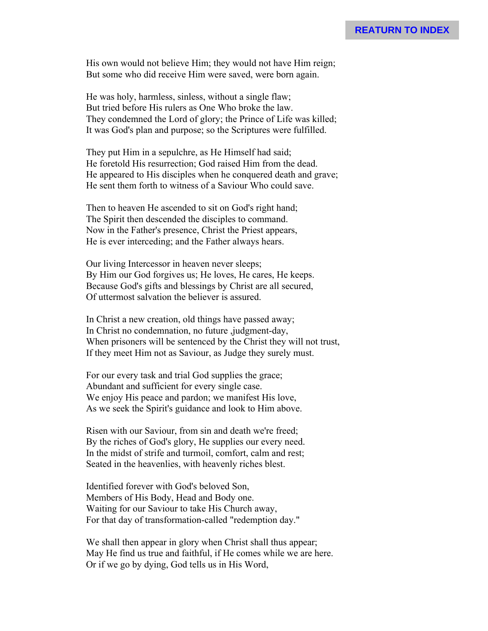His own would not believe Him; they would not have Him reign; But some who did receive Him were saved, were born again.

He was holy, harmless, sinless, without a single flaw; But tried before His rulers as One Who broke the law. They condemned the Lord of glory; the Prince of Life was killed; It was God's plan and purpose; so the Scriptures were fulfilled.

They put Him in a sepulchre, as He Himself had said; He foretold His resurrection; God raised Him from the dead. He appeared to His disciples when he conquered death and grave; He sent them forth to witness of a Saviour Who could save.

Then to heaven He ascended to sit on God's right hand; The Spirit then descended the disciples to command. Now in the Father's presence, Christ the Priest appears, He is ever interceding; and the Father always hears.

Our living Intercessor in heaven never sleeps; By Him our God forgives us; He loves, He cares, He keeps. Because God's gifts and blessings by Christ are all secured, Of uttermost salvation the believer is assured.

In Christ a new creation, old things have passed away; In Christ no condemnation, no future ,judgment-day, When prisoners will be sentenced by the Christ they will not trust, If they meet Him not as Saviour, as Judge they surely must.

For our every task and trial God supplies the grace; Abundant and sufficient for every single case. We enjoy His peace and pardon; we manifest His love, As we seek the Spirit's guidance and look to Him above.

Risen with our Saviour, from sin and death we're freed; By the riches of God's glory, He supplies our every need. In the midst of strife and turmoil, comfort, calm and rest; Seated in the heavenlies, with heavenly riches blest.

Identified forever with God's beloved Son, Members of His Body, Head and Body one. Waiting for our Saviour to take His Church away, For that day of transformation-called "redemption day."

We shall then appear in glory when Christ shall thus appear; May He find us true and faithful, if He comes while we are here. Or if we go by dying, God tells us in His Word,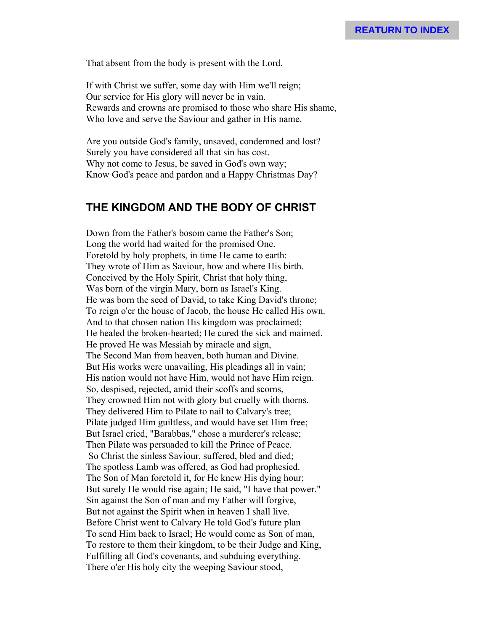That absent from the body is present with the Lord.

If with Christ we suffer, some day with Him we'll reign; Our service for His glory will never be in vain. Rewards and crowns are promised to those who share His shame, Who love and serve the Saviour and gather in His name.

Are you outside God's family, unsaved, condemned and lost? Surely you have considered all that sin has cost. Why not come to Jesus, be saved in God's own way; Know God's peace and pardon and a Happy Christmas Day?

## **THE KINGDOM AND THE BODY OF CHRIST**

Down from the Father's bosom came the Father's Son; Long the world had waited for the promised One. Foretold by holy prophets, in time He came to earth: They wrote of Him as Saviour, how and where His birth. Conceived by the Holy Spirit, Christ that holy thing, Was born of the virgin Mary, born as Israel's King. He was born the seed of David, to take King David's throne; To reign o'er the house of Jacob, the house He called His own. And to that chosen nation His kingdom was proclaimed; He healed the broken-hearted; He cured the sick and maimed. He proved He was Messiah by miracle and sign, The Second Man from heaven, both human and Divine. But His works were unavailing, His pleadings all in vain; His nation would not have Him, would not have Him reign. So, despised, rejected, amid their scoffs and scorns, They crowned Him not with glory but cruelly with thorns. They delivered Him to Pilate to nail to Calvary's tree; Pilate judged Him guiltless, and would have set Him free; But Israel cried, "Barabbas," chose a murderer's release; Then Pilate was persuaded to kill the Prince of Peace. So Christ the sinless Saviour, suffered, bled and died; The spotless Lamb was offered, as God had prophesied. The Son of Man foretold it, for He knew His dying hour; But surely He would rise again; He said, "I have that power." Sin against the Son of man and my Father will forgive, But not against the Spirit when in heaven I shall live. Before Christ went to Calvary He told God's future plan To send Him back to Israel; He would come as Son of man, To restore to them their kingdom, to be their Judge and King, Fulfilling all God's covenants, and subduing everything. There o'er His holy city the weeping Saviour stood,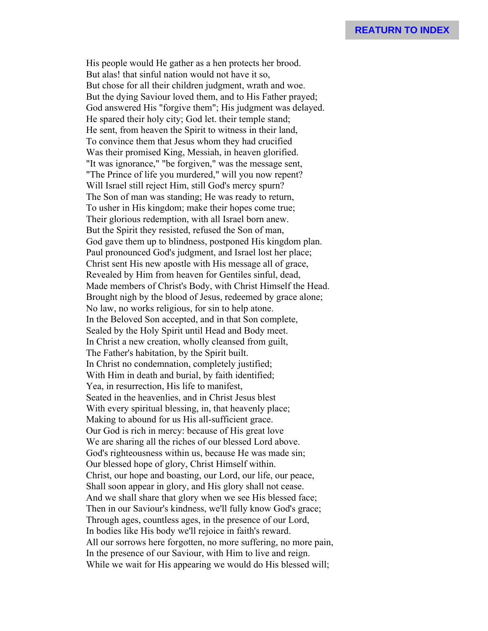His people would He gather as a hen protects her brood. But alas! that sinful nation would not have it so, But chose for all their children judgment, wrath and woe. But the dying Saviour loved them, and to His Father prayed; God answered His "forgive them"; His judgment was delayed. He spared their holy city; God let. their temple stand; He sent, from heaven the Spirit to witness in their land, To convince them that Jesus whom they had crucified Was their promised King, Messiah, in heaven glorified. "It was ignorance," "be forgiven," was the message sent, "The Prince of life you murdered," will you now repent? Will Israel still reject Him, still God's mercy spurn? The Son of man was standing; He was ready to return, To usher in His kingdom; make their hopes come true; Their glorious redemption, with all Israel born anew. But the Spirit they resisted, refused the Son of man, God gave them up to blindness, postponed His kingdom plan. Paul pronounced God's judgment, and Israel lost her place; Christ sent His new apostle with His message all of grace, Revealed by Him from heaven for Gentiles sinful, dead, Made members of Christ's Body, with Christ Himself the Head. Brought nigh by the blood of Jesus, redeemed by grace alone; No law, no works religious, for sin to help atone. In the Beloved Son accepted, and in that Son complete, Sealed by the Holy Spirit until Head and Body meet. In Christ a new creation, wholly cleansed from guilt, The Father's habitation, by the Spirit built. In Christ no condemnation, completely justified; With Him in death and burial, by faith identified; Yea, in resurrection, His life to manifest, Seated in the heavenlies, and in Christ Jesus blest With every spiritual blessing, in, that heavenly place; Making to abound for us His all-sufficient grace. Our God is rich in mercy: because of His great love We are sharing all the riches of our blessed Lord above. God's righteousness within us, because He was made sin; Our blessed hope of glory, Christ Himself within. Christ, our hope and boasting, our Lord, our life, our peace, Shall soon appear in glory, and His glory shall not cease. And we shall share that glory when we see His blessed face; Then in our Saviour's kindness, we'll fully know God's grace; Through ages, countless ages, in the presence of our Lord, In bodies like His body we'll rejoice in faith's reward. All our sorrows here forgotten, no more suffering, no more pain, In the presence of our Saviour, with Him to live and reign. While we wait for His appearing we would do His blessed will;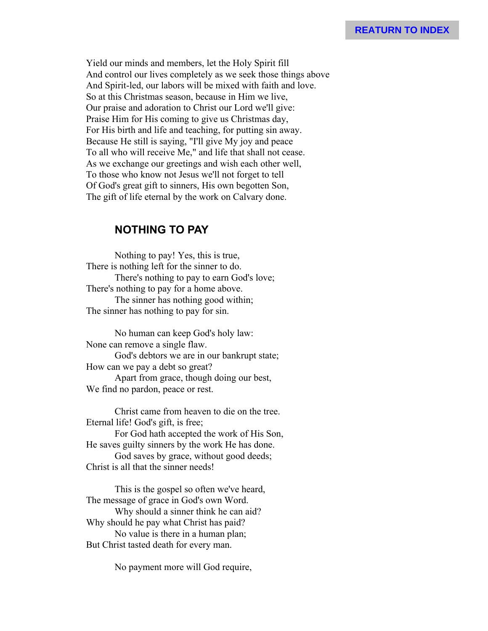Yield our minds and members, let the Holy Spirit fill And control our lives completely as we seek those things above And Spirit-led, our labors will be mixed with faith and love. So at this Christmas season, because in Him we live, Our praise and adoration to Christ our Lord we'll give: Praise Him for His coming to give us Christmas day, For His birth and life and teaching, for putting sin away. Because He still is saying, "I'll give My joy and peace To all who will receive Me," and life that shall not cease. As we exchange our greetings and wish each other well, To those who know not Jesus we'll not forget to tell Of God's great gift to sinners, His own begotten Son, The gift of life eternal by the work on Calvary done.

#### **NOTHING TO PAY**

Nothing to pay! Yes, this is true, There is nothing left for the sinner to do. There's nothing to pay to earn God's love; There's nothing to pay for a home above. The sinner has nothing good within; The sinner has nothing to pay for sin.

No human can keep God's holy law: None can remove a single flaw. God's debtors we are in our bankrupt state; How can we pay a debt so great? Apart from grace, though doing our best, We find no pardon, peace or rest.

Christ came from heaven to die on the tree. Eternal life! God's gift, is free;

For God hath accepted the work of His Son, He saves guilty sinners by the work He has done. God saves by grace, without good deeds; Christ is all that the sinner needs!

This is the gospel so often we've heard, The message of grace in God's own Word. Why should a sinner think he can aid? Why should he pay what Christ has paid? No value is there in a human plan; But Christ tasted death for every man.

No payment more will God require,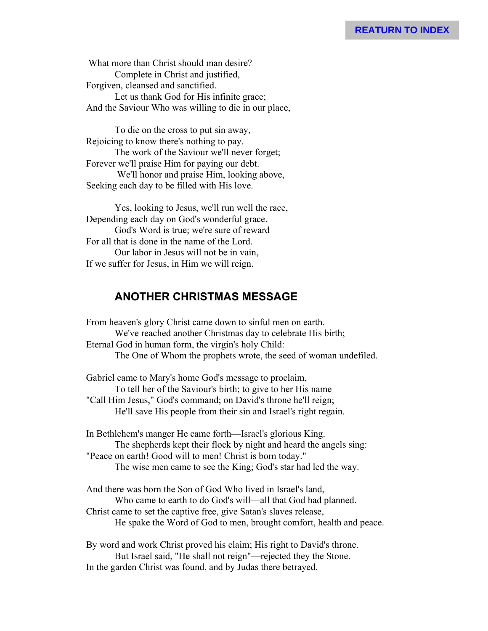What more than Christ should man desire? Complete in Christ and justified, Forgiven, cleansed and sanctified. Let us thank God for His infinite grace; And the Saviour Who was willing to die in our place,

To die on the cross to put sin away, Rejoicing to know there's nothing to pay. The work of the Saviour we'll never forget; Forever we'll praise Him for paying our debt. We'll honor and praise Him, looking above, Seeking each day to be filled with His love.

Yes, looking to Jesus, we'll run well the race, Depending each day on God's wonderful grace. God's Word is true; we're sure of reward For all that is done in the name of the Lord. Our labor in Jesus will not be in vain, If we suffer for Jesus, in Him we will reign.

# **ANOTHER CHRISTMAS MESSAGE**

From heaven's glory Christ came down to sinful men on earth. We've reached another Christmas day to celebrate His birth; Eternal God in human form, the virgin's holy Child: The One of Whom the prophets wrote, the seed of woman undefiled.

Gabriel came to Mary's home God's message to proclaim, To tell her of the Saviour's birth; to give to her His name "Call Him Jesus," God's command; on David's throne he'll reign; He'll save His people from their sin and Israel's right regain.

In Bethlehem's manger He came forth—Israel's glorious King. The shepherds kept their flock by night and heard the angels sing: "Peace on earth! Good will to men! Christ is born today." The wise men came to see the King; God's star had led the way.

And there was born the Son of God Who lived in Israel's land, Who came to earth to do God's will—all that God had planned. Christ came to set the captive free, give Satan's slaves release, He spake the Word of God to men, brought comfort, health and peace.

By word and work Christ proved his claim; His right to David's throne. But Israel said, "He shall not reign"—rejected they the Stone. In the garden Christ was found, and by Judas there betrayed.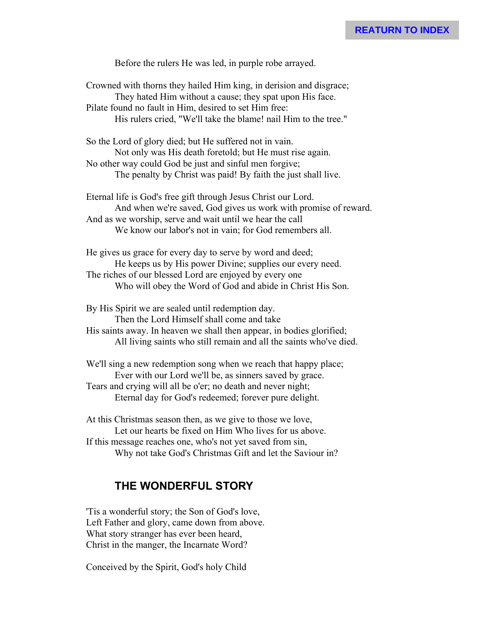Before the rulers He was led, in purple robe arrayed.

Crowned with thorns they hailed Him king, in derision and disgrace; They hated Him without a cause; they spat upon His face. Pilate found no fault in Him, desired to set Him free: His rulers cried, "We'll take the blame! nail Him to the tree."

So the Lord of glory died; but He suffered not in vain. Not only was His death foretold; but He must rise again. No other way could God be just and sinful men forgive; The penalty by Christ was paid! By faith the just shall live.

Eternal life is God's free gift through Jesus Christ our Lord. And when we're saved, God gives us work with promise of reward. And as we worship, serve and wait until we hear the call We know our labor's not in vain; for God remembers all.

He gives us grace for every day to serve by word and deed; He keeps us by His power Divine; supplies our every need. The riches of our blessed Lord are enjoyed by every one Who will obey the Word of God and abide in Christ His Son.

By His Spirit we are sealed until redemption day.

Then the Lord Himself shall come and take

His saints away. In heaven we shall then appear, in bodies glorified; All living saints who still remain and all the saints who've died.

We'll sing a new redemption song when we reach that happy place; Ever with our Lord we'll be, as sinners saved by grace. Tears and crying will all be o'er; no death and never night; Eternal day for God's redeemed; forever pure delight.

At this Christmas season then, as we give to those we love, Let our hearts be fixed on Him Who lives for us above. If this message reaches one, who's not yet saved from sin, Why not take God's Christmas Gift and let the Saviour in?

#### **THE WONDERFUL STORY**

'Tis a wonderful story; the Son of God's love, Left Father and glory, came down from above. What story stranger has ever been heard, Christ in the manger, the Incarnate Word?

Conceived by the Spirit, God's holy Child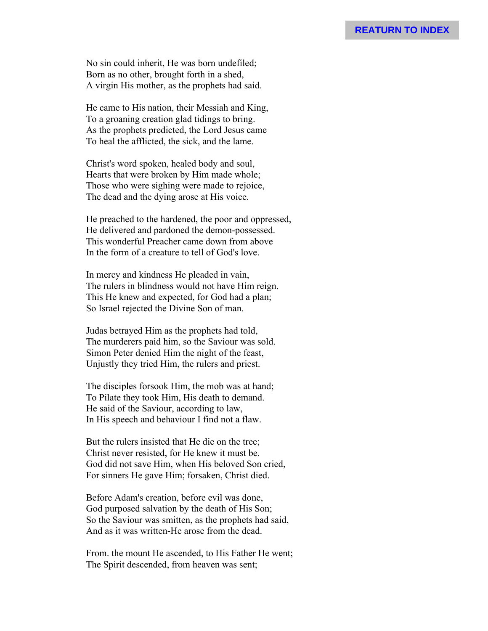No sin could inherit, He was born undefiled; Born as no other, brought forth in a shed, A virgin His mother, as the prophets had said.

He came to His nation, their Messiah and King, To a groaning creation glad tidings to bring. As the prophets predicted, the Lord Jesus came To heal the afflicted, the sick, and the lame.

Christ's word spoken, healed body and soul, Hearts that were broken by Him made whole; Those who were sighing were made to rejoice, The dead and the dying arose at His voice.

He preached to the hardened, the poor and oppressed, He delivered and pardoned the demon-possessed. This wonderful Preacher came down from above In the form of a creature to tell of God's love.

In mercy and kindness He pleaded in vain, The rulers in blindness would not have Him reign. This He knew and expected, for God had a plan; So Israel rejected the Divine Son of man.

Judas betrayed Him as the prophets had told, The murderers paid him, so the Saviour was sold. Simon Peter denied Him the night of the feast, Unjustly they tried Him, the rulers and priest.

The disciples forsook Him, the mob was at hand; To Pilate they took Him, His death to demand. He said of the Saviour, according to law, In His speech and behaviour I find not a flaw.

But the rulers insisted that He die on the tree; Christ never resisted, for He knew it must be. God did not save Him, when His beloved Son cried, For sinners He gave Him; forsaken, Christ died.

Before Adam's creation, before evil was done, God purposed salvation by the death of His Son; So the Saviour was smitten, as the prophets had said, And as it was written-He arose from the dead.

From. the mount He ascended, to His Father He went; The Spirit descended, from heaven was sent;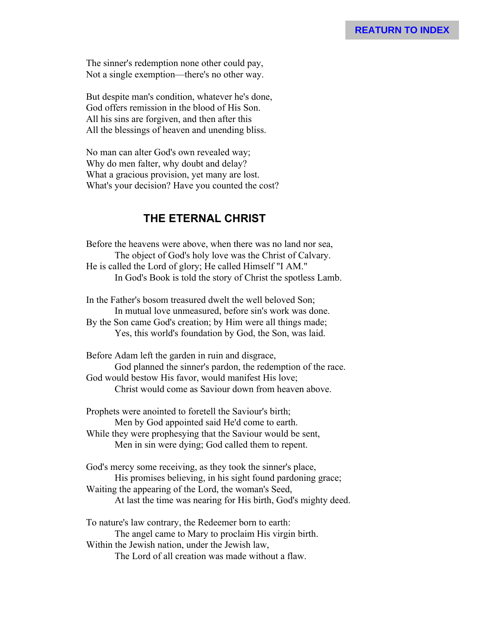The sinner's redemption none other could pay, Not a single exemption—there's no other way.

But despite man's condition, whatever he's done, God offers remission in the blood of His Son. All his sins are forgiven, and then after this All the blessings of heaven and unending bliss.

No man can alter God's own revealed way; Why do men falter, why doubt and delay? What a gracious provision, yet many are lost. What's your decision? Have you counted the cost?

### **THE ETERNAL CHRIST**

Before the heavens were above, when there was no land nor sea, The object of God's holy love was the Christ of Calvary. He is called the Lord of glory; He called Himself "I AM." In God's Book is told the story of Christ the spotless Lamb.

In the Father's bosom treasured dwelt the well beloved Son; In mutual love unmeasured, before sin's work was done. By the Son came God's creation; by Him were all things made; Yes, this world's foundation by God, the Son, was laid.

Before Adam left the garden in ruin and disgrace, God planned the sinner's pardon, the redemption of the race. God would bestow His favor, would manifest His love; Christ would come as Saviour down from heaven above.

Prophets were anointed to foretell the Saviour's birth; Men by God appointed said He'd come to earth.

While they were prophesying that the Saviour would be sent, Men in sin were dying; God called them to repent.

God's mercy some receiving, as they took the sinner's place, His promises believing, in his sight found pardoning grace; Waiting the appearing of the Lord, the woman's Seed,

At last the time was nearing for His birth, God's mighty deed.

To nature's law contrary, the Redeemer born to earth: The angel came to Mary to proclaim His virgin birth. Within the Jewish nation, under the Jewish law,

The Lord of all creation was made without a flaw.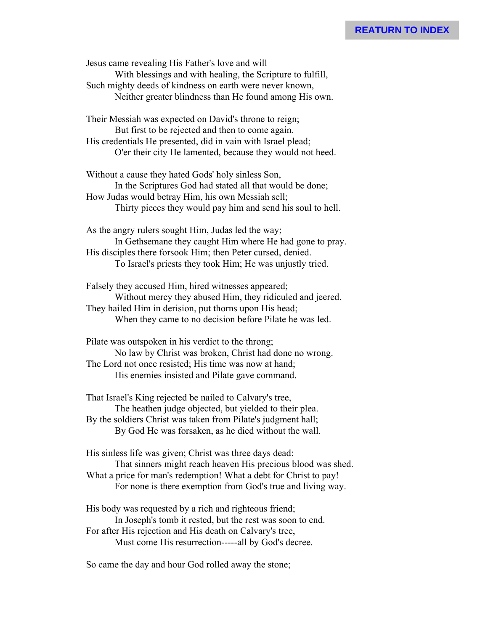Jesus came revealing His Father's love and will With blessings and with healing, the Scripture to fulfill, Such mighty deeds of kindness on earth were never known, Neither greater blindness than He found among His own.

Their Messiah was expected on David's throne to reign; But first to be rejected and then to come again. His credentials He presented, did in vain with Israel plead; O'er their city He lamented, because they would not heed.

Without a cause they hated Gods' holy sinless Son, In the Scriptures God had stated all that would be done; How Judas would betray Him, his own Messiah sell; Thirty pieces they would pay him and send his soul to hell.

As the angry rulers sought Him, Judas led the way; In Gethsemane they caught Him where He had gone to pray. His disciples there forsook Him; then Peter cursed, denied. To Israel's priests they took Him; He was unjustly tried.

Falsely they accused Him, hired witnesses appeared; Without mercy they abused Him, they ridiculed and jeered. They hailed Him in derision, put thorns upon His head; When they came to no decision before Pilate he was led.

Pilate was outspoken in his verdict to the throng; No law by Christ was broken, Christ had done no wrong. The Lord not once resisted; His time was now at hand; His enemies insisted and Pilate gave command.

That Israel's King rejected be nailed to Calvary's tree, The heathen judge objected, but yielded to their plea. By the soldiers Christ was taken from Pilate's judgment hall; By God He was forsaken, as he died without the wall.

His sinless life was given; Christ was three days dead: That sinners might reach heaven His precious blood was shed. What a price for man's redemption! What a debt for Christ to pay! For none is there exemption from God's true and living way.

His body was requested by a rich and righteous friend; In Joseph's tomb it rested, but the rest was soon to end. For after His rejection and His death on Calvary's tree, Must come His resurrection-----all by God's decree.

So came the day and hour God rolled away the stone;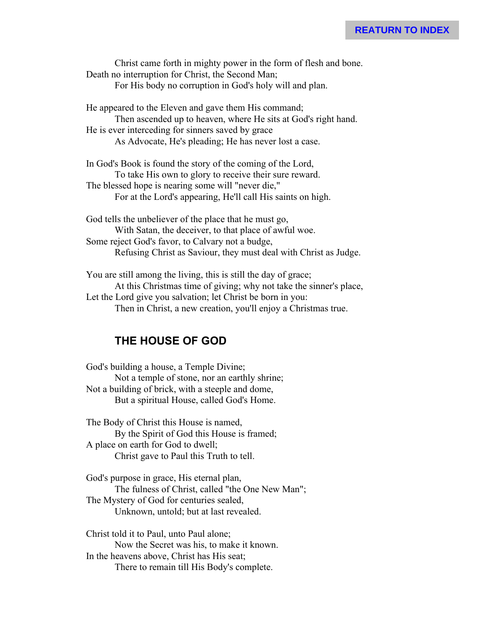Christ came forth in mighty power in the form of flesh and bone. Death no interruption for Christ, the Second Man; For His body no corruption in God's holy will and plan. He appeared to the Eleven and gave them His command; Then ascended up to heaven, where He sits at God's right hand.

He is ever interceding for sinners saved by grace As Advocate, He's pleading; He has never lost a case.

In God's Book is found the story of the coming of the Lord, To take His own to glory to receive their sure reward. The blessed hope is nearing some will "never die," For at the Lord's appearing, He'll call His saints on high.

God tells the unbeliever of the place that he must go, With Satan, the deceiver, to that place of awful woe. Some reject God's favor, to Calvary not a budge, Refusing Christ as Saviour, they must deal with Christ as Judge.

You are still among the living, this is still the day of grace; At this Christmas time of giving; why not take the sinner's place, Let the Lord give you salvation; let Christ be born in you: Then in Christ, a new creation, you'll enjoy a Christmas true.

# **THE HOUSE OF GOD**

God's building a house, a Temple Divine; Not a temple of stone, nor an earthly shrine; Not a building of brick, with a steeple and dome, But a spiritual House, called God's Home.

The Body of Christ this House is named, By the Spirit of God this House is framed; A place on earth for God to dwell; Christ gave to Paul this Truth to tell.

God's purpose in grace, His eternal plan, The fulness of Christ, called "the One New Man"; The Mystery of God for centuries sealed, Unknown, untold; but at last revealed.

Christ told it to Paul, unto Paul alone; Now the Secret was his, to make it known. In the heavens above, Christ has His seat; There to remain till His Body's complete.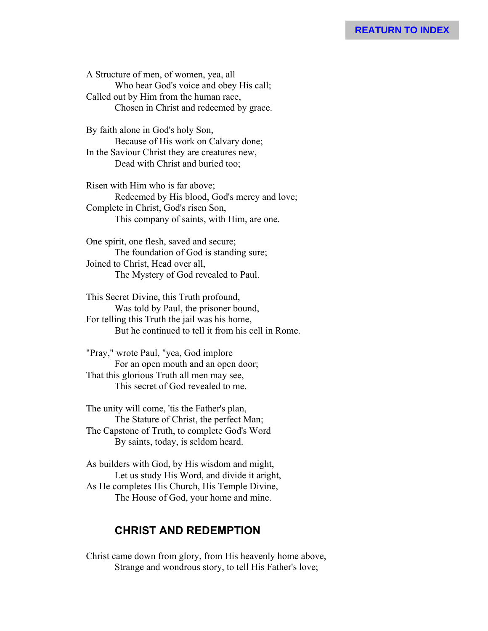A Structure of men, of women, yea, all Who hear God's voice and obey His call; Called out by Him from the human race, Chosen in Christ and redeemed by grace.

By faith alone in God's holy Son, Because of His work on Calvary done; In the Saviour Christ they are creatures new, Dead with Christ and buried too;

Risen with Him who is far above; Redeemed by His blood, God's mercy and love; Complete in Christ, God's risen Son, This company of saints, with Him, are one.

One spirit, one flesh, saved and secure; The foundation of God is standing sure; Joined to Christ, Head over all, The Mystery of God revealed to Paul.

This Secret Divine, this Truth profound, Was told by Paul, the prisoner bound, For telling this Truth the jail was his home, But he continued to tell it from his cell in Rome.

"Pray," wrote Paul, "yea, God implore For an open mouth and an open door; That this glorious Truth all men may see, This secret of God revealed to me.

The unity will come, 'tis the Father's plan, The Stature of Christ, the perfect Man; The Capstone of Truth, to complete God's Word By saints, today, is seldom heard.

As builders with God, by His wisdom and might, Let us study His Word, and divide it aright, As He completes His Church, His Temple Divine, The House of God, your home and mine.

#### **CHRIST AND REDEMPTION**

Christ came down from glory, from His heavenly home above, Strange and wondrous story, to tell His Father's love;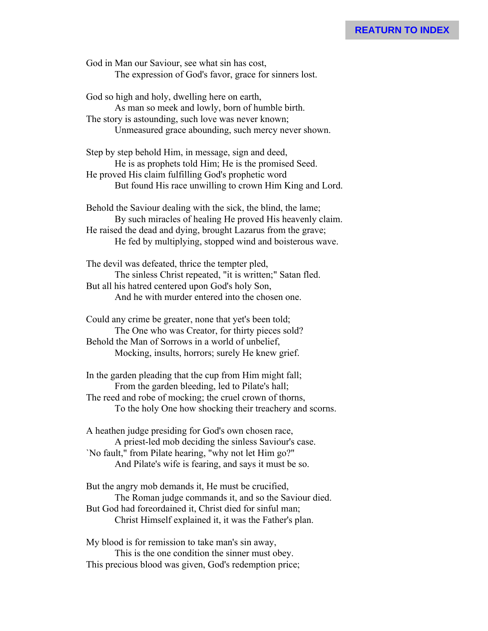God in Man our Saviour, see what sin has cost, The expression of God's favor, grace for sinners lost.

God so high and holy, dwelling here on earth, As man so meek and lowly, born of humble birth. The story is astounding, such love was never known; Unmeasured grace abounding, such mercy never shown.

Step by step behold Him, in message, sign and deed, He is as prophets told Him; He is the promised Seed. He proved His claim fulfilling God's prophetic word But found His race unwilling to crown Him King and Lord.

Behold the Saviour dealing with the sick, the blind, the lame; By such miracles of healing He proved His heavenly claim. He raised the dead and dying, brought Lazarus from the grave; He fed by multiplying, stopped wind and boisterous wave.

The devil was defeated, thrice the tempter pled, The sinless Christ repeated, "it is written;" Satan fled. But all his hatred centered upon God's holy Son, And he with murder entered into the chosen one.

Could any crime be greater, none that yet's been told; The One who was Creator, for thirty pieces sold? Behold the Man of Sorrows in a world of unbelief, Mocking, insults, horrors; surely He knew grief.

In the garden pleading that the cup from Him might fall; From the garden bleeding, led to Pilate's hall; The reed and robe of mocking; the cruel crown of thorns, To the holy One how shocking their treachery and scorns.

A heathen judge presiding for God's own chosen race, A priest-led mob deciding the sinless Saviour's case. `No fault," from Pilate hearing, "why not let Him go?" And Pilate's wife is fearing, and says it must be so.

But the angry mob demands it, He must be crucified, The Roman judge commands it, and so the Saviour died. But God had foreordained it, Christ died for sinful man; Christ Himself explained it, it was the Father's plan.

My blood is for remission to take man's sin away, This is the one condition the sinner must obey. This precious blood was given, God's redemption price;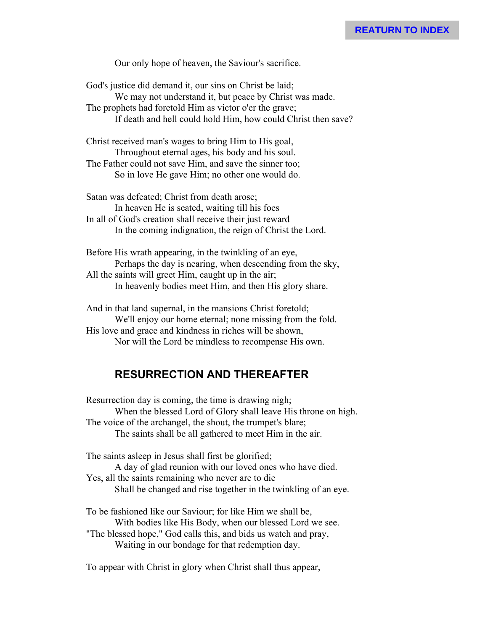Our only hope of heaven, the Saviour's sacrifice.

God's justice did demand it, our sins on Christ be laid; We may not understand it, but peace by Christ was made. The prophets had foretold Him as victor o'er the grave; If death and hell could hold Him, how could Christ then save?

Christ received man's wages to bring Him to His goal, Throughout eternal ages, his body and his soul. The Father could not save Him, and save the sinner too; So in love He gave Him; no other one would do.

Satan was defeated; Christ from death arose; In heaven He is seated, waiting till his foes In all of God's creation shall receive their just reward In the coming indignation, the reign of Christ the Lord.

Before His wrath appearing, in the twinkling of an eye, Perhaps the day is nearing, when descending from the sky, All the saints will greet Him, caught up in the air; In heavenly bodies meet Him, and then His glory share.

And in that land supernal, in the mansions Christ foretold; We'll enjoy our home eternal; none missing from the fold. His love and grace and kindness in riches will be shown, Nor will the Lord be mindless to recompense His own.

# **RESURRECTION AND THEREAFTER**

Resurrection day is coming, the time is drawing nigh; When the blessed Lord of Glory shall leave His throne on high. The voice of the archangel, the shout, the trumpet's blare; The saints shall be all gathered to meet Him in the air.

The saints asleep in Jesus shall first be glorified;

A day of glad reunion with our loved ones who have died. Yes, all the saints remaining who never are to die Shall be changed and rise together in the twinkling of an eye.

To be fashioned like our Saviour; for like Him we shall be, With bodies like His Body, when our blessed Lord we see. "The blessed hope," God calls this, and bids us watch and pray, Waiting in our bondage for that redemption day.

To appear with Christ in glory when Christ shall thus appear,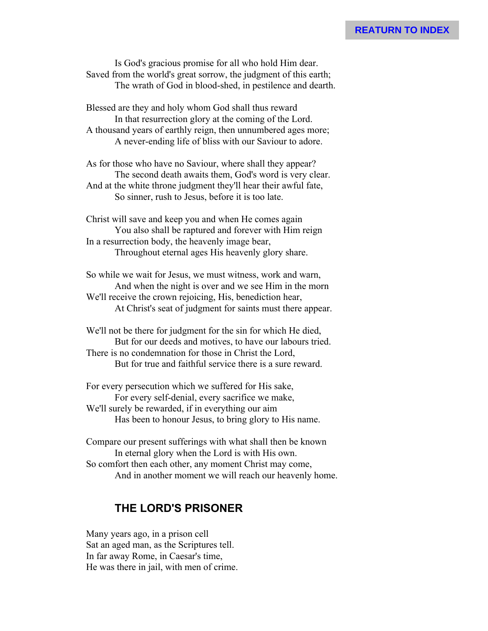#### **REATURN TO INDEX**

Is God's gracious promise for all who hold Him dear. Saved from the world's great sorrow, the judgment of this earth; The wrath of God in blood-shed, in pestilence and dearth.

Blessed are they and holy whom God shall thus reward In that resurrection glory at the coming of the Lord. A thousand years of earthly reign, then unnumbered ages more; A never-ending life of bliss with our Saviour to adore.

As for those who have no Saviour, where shall they appear? The second death awaits them, God's word is very clear. And at the white throne judgment they'll hear their awful fate, So sinner, rush to Jesus, before it is too late.

Christ will save and keep you and when He comes again You also shall be raptured and forever with Him reign In a resurrection body, the heavenly image bear, Throughout eternal ages His heavenly glory share.

So while we wait for Jesus, we must witness, work and warn, And when the night is over and we see Him in the morn We'll receive the crown rejoicing, His, benediction hear, At Christ's seat of judgment for saints must there appear.

We'll not be there for judgment for the sin for which He died, But for our deeds and motives, to have our labours tried. There is no condemnation for those in Christ the Lord, But for true and faithful service there is a sure reward.

For every persecution which we suffered for His sake, For every self-denial, every sacrifice we make, We'll surely be rewarded, if in everything our aim Has been to honour Jesus, to bring glory to His name.

Compare our present sufferings with what shall then be known In eternal glory when the Lord is with His own. So comfort then each other, any moment Christ may come, And in another moment we will reach our heavenly home.

#### **THE LORD'S PRISONER**

Many years ago, in a prison cell Sat an aged man, as the Scriptures tell. In far away Rome, in Caesar's time, He was there in jail, with men of crime.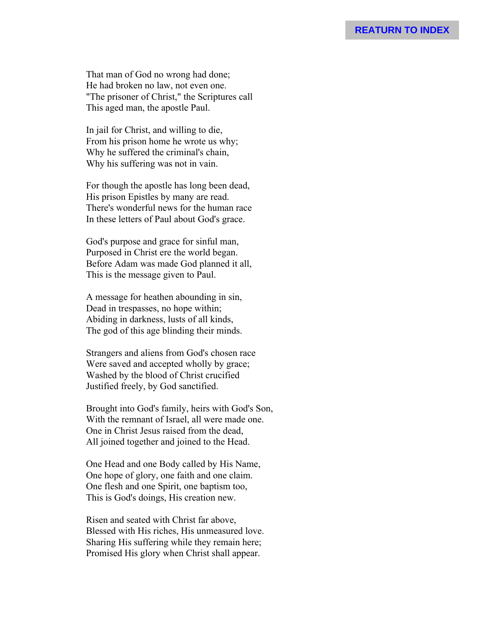That man of God no wrong had done; He had broken no law, not even one. "The prisoner of Christ," the Scriptures call This aged man, the apostle Paul.

In jail for Christ, and willing to die, From his prison home he wrote us why; Why he suffered the criminal's chain, Why his suffering was not in vain.

For though the apostle has long been dead, His prison Epistles by many are read. There's wonderful news for the human race In these letters of Paul about God's grace.

God's purpose and grace for sinful man, Purposed in Christ ere the world began. Before Adam was made God planned it all, This is the message given to Paul.

A message for heathen abounding in sin, Dead in trespasses, no hope within; Abiding in darkness, lusts of all kinds, The god of this age blinding their minds.

Strangers and aliens from God's chosen race Were saved and accepted wholly by grace; Washed by the blood of Christ crucified Justified freely, by God sanctified.

Brought into God's family, heirs with God's Son, With the remnant of Israel, all were made one. One in Christ Jesus raised from the dead, All joined together and joined to the Head.

One Head and one Body called by His Name, One hope of glory, one faith and one claim. One flesh and one Spirit, one baptism too, This is God's doings, His creation new.

Risen and seated with Christ far above, Blessed with His riches, His unmeasured love. Sharing His suffering while they remain here; Promised His glory when Christ shall appear.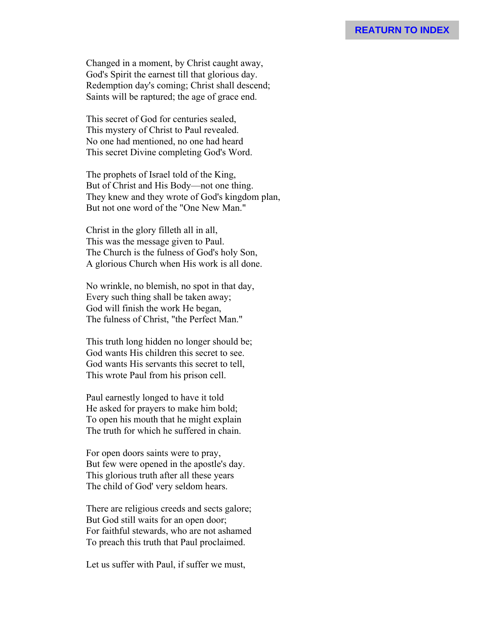Changed in a moment, by Christ caught away, God's Spirit the earnest till that glorious day. Redemption day's coming; Christ shall descend; Saints will be raptured; the age of grace end.

This secret of God for centuries sealed, This mystery of Christ to Paul revealed. No one had mentioned, no one had heard This secret Divine completing God's Word.

The prophets of Israel told of the King, But of Christ and His Body—not one thing. They knew and they wrote of God's kingdom plan, But not one word of the "One New Man."

Christ in the glory filleth all in all, This was the message given to Paul. The Church is the fulness of God's holy Son, A glorious Church when His work is all done.

No wrinkle, no blemish, no spot in that day, Every such thing shall be taken away; God will finish the work He began, The fulness of Christ, "the Perfect Man."

This truth long hidden no longer should be; God wants His children this secret to see. God wants His servants this secret to tell, This wrote Paul from his prison cell.

Paul earnestly longed to have it told He asked for prayers to make him bold; To open his mouth that he might explain The truth for which he suffered in chain.

For open doors saints were to pray, But few were opened in the apostle's day. This glorious truth after all these years The child of God' very seldom hears.

There are religious creeds and sects galore; But God still waits for an open door; For faithful stewards, who are not ashamed To preach this truth that Paul proclaimed.

Let us suffer with Paul, if suffer we must,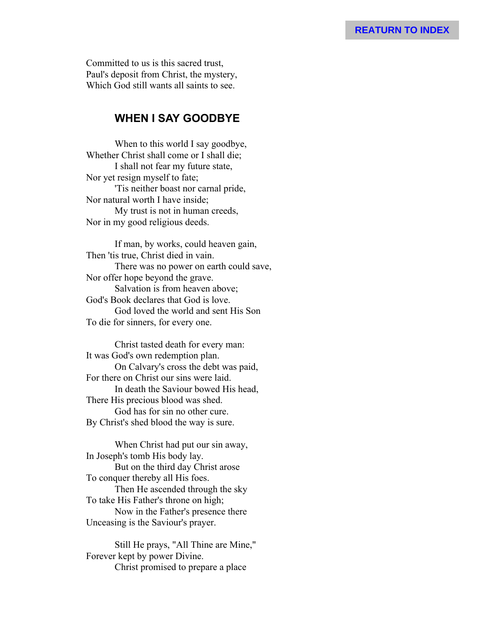Committed to us is this sacred trust, Paul's deposit from Christ, the mystery, Which God still wants all saints to see.

#### **WHEN I SAY GOODBYE**

When to this world I say goodbye, Whether Christ shall come or I shall die; I shall not fear my future state, Nor yet resign myself to fate; 'Tis neither boast nor carnal pride, Nor natural worth I have inside; My trust is not in human creeds, Nor in my good religious deeds.

If man, by works, could heaven gain, Then 'tis true, Christ died in vain. There was no power on earth could save, Nor offer hope beyond the grave. Salvation is from heaven above; God's Book declares that God is love. God loved the world and sent His Son To die for sinners, for every one.

Christ tasted death for every man: It was God's own redemption plan. On Calvary's cross the debt was paid, For there on Christ our sins were laid. In death the Saviour bowed His head, There His precious blood was shed. God has for sin no other cure. By Christ's shed blood the way is sure.

When Christ had put our sin away, In Joseph's tomb His body lay. But on the third day Christ arose To conquer thereby all His foes. Then He ascended through the sky To take His Father's throne on high; Now in the Father's presence there Unceasing is the Saviour's prayer.

Still He prays, "All Thine are Mine," Forever kept by power Divine. Christ promised to prepare a place